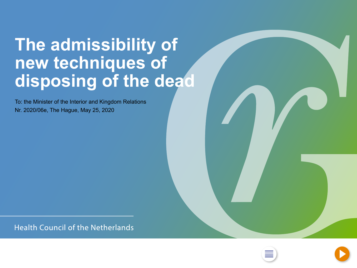## <span id="page-0-0"></span>**The admissibility of new techniques of disposing of the dead**

To: the Minister of the Interior and Kingdom Relations Nr. 2020/06e, The Hague, May 25, 2020

**Health Council of the Netherlands** 



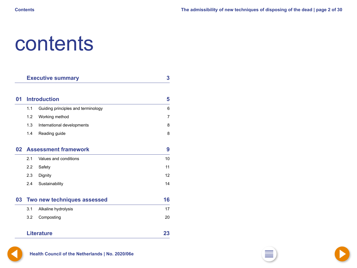## <span id="page-1-0"></span>contents

|    | <b>Executive summary</b>    | $\mathbf{3}$                       |                |
|----|-----------------------------|------------------------------------|----------------|
|    |                             |                                    |                |
| 01 | <b>Introduction</b>         | 5                                  |                |
|    | 1.1                         | Guiding principles and terminology | 6              |
|    | 1.2                         | Working method                     | $\overline{7}$ |
|    | 1.3                         | International developments         | 8              |
|    | 1.4                         | Reading guide                      | 8              |
| 02 | <b>Assessment framework</b> |                                    | 9              |
|    | 2.1                         | Values and conditions              | 10             |
|    | 2.2                         | Safety                             | 11             |
|    | 2.3                         | Dignity                            | 12             |
|    | 2.4                         | Sustainability                     | 14             |
| 03 | Two new techniques assessed |                                    | 16             |
|    | 3.1                         | Alkaline hydrolysis                | 17             |
|    | 3.2                         | Composting                         | 20             |
|    |                             | <b>Literature</b>                  | 23             |



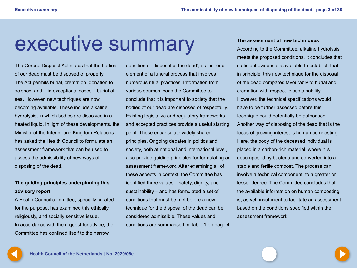## <span id="page-2-0"></span>executive summary

The Corpse Disposal Act states that the bodies of our dead must be disposed of properly. The Act permits burial, cremation, donation to science, and – in exceptional cases – burial at sea. However, new techniques are now becoming available. These include alkaline hydrolysis, in which bodies are dissolved in a heated liquid. In light of these developments, the Minister of the Interior and Kingdom Relations has asked the Health Council to formulate an assessment framework that can be used to assess the admissibility of new ways of disposing of the dead.

### **The guiding principles underpinning this advisory report**

A Health Council committee, specially created for the purpose, has examined this ethically, religiously, and socially sensitive issue. In accordance with the request for advice, the Committee has confined itself to the narrow

definition of 'disposal of the dead', as just one element of a funeral process that involves numerous ritual practices. Information from various sources leads the Committee to conclude that it is important to society that the bodies of our dead are disposed of respectfully. Existing legislative and regulatory frameworks and accepted practices provide a useful starting point. These encapsulate widely shared principles. Ongoing debates in politics and society, both at national and international level, also provide guiding principles for formulating an assessment framework. After examining all of these aspects in context, the Committee has identified three values – safety, dignity, and sustainability – and has formulated a set of conditions that must be met before a new technique for the disposal of the dead can be considered admissible. These values and conditions are summarised in Table 1 on page 4.

#### **The assessment of new techniques**

According to the Committee, alkaline hydrolysis meets the proposed conditions. It concludes that sufficient evidence is available to establish that, in principle, this new technique for the disposal of the dead compares favourably to burial and cremation with respect to sustainability. However, the technical specifications would have to be further assessed before this technique could potentially be authorised. Another way of disposing of the dead that is the focus of growing interest is human composting. Here, the body of the deceased individual is placed in a carbon-rich material, where it is decomposed by bacteria and converted into a stable and fertile compost. The process can involve a technical component, to a greater or lesser degree. The Committee concludes that the available information on human composting is, as yet, insufficient to facilitate an assessment based on the conditions specified within the assessment framework.

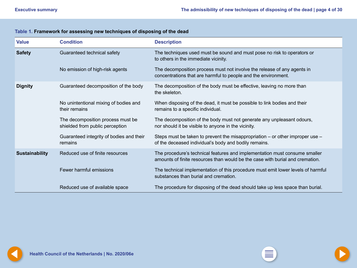| <b>Value</b>          | <b>Condition</b>                                                     | <b>Description</b>                                                                                                                                          |
|-----------------------|----------------------------------------------------------------------|-------------------------------------------------------------------------------------------------------------------------------------------------------------|
| <b>Safety</b>         | Guaranteed technical safety                                          | The techniques used must be sound and must pose no risk to operators or<br>to others in the immediate vicinity.                                             |
|                       | No emission of high-risk agents                                      | The decomposition process must not involve the release of any agents in<br>concentrations that are harmful to people and the environment.                   |
| <b>Dignity</b>        | Guaranteed decomposition of the body                                 | The decomposition of the body must be effective, leaving no more than<br>the skeleton.                                                                      |
|                       | No unintentional mixing of bodies and<br>their remains               | When disposing of the dead, it must be possible to link bodies and their<br>remains to a specific individual.                                               |
|                       | The decomposition process must be<br>shielded from public perception | The decomposition of the body must not generate any unpleasant odours,<br>nor should it be visible to anyone in the vicinity.                               |
|                       | Guaranteed integrity of bodies and their<br>remains                  | Steps must be taken to prevent the misappropriation $-$ or other improper use $-$<br>of the deceased individual's body and bodily remains.                  |
| <b>Sustainability</b> | Reduced use of finite resources                                      | The procedure's technical features and implementation must consume smaller<br>amounts of finite resources than would be the case with burial and cremation. |
|                       | Fewer harmful emissions                                              | The technical implementation of this procedure must emit lower levels of harmful<br>substances than burial and cremation.                                   |
|                       | Reduced use of available space                                       | The procedure for disposing of the dead should take up less space than burial.                                                                              |

### <span id="page-3-0"></span>**Table 1. Framework for assessing new techniques of disposing of the dead**

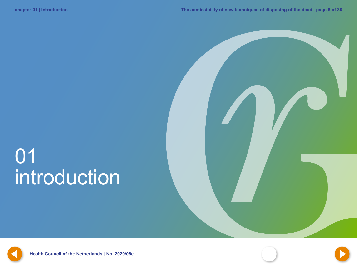# <span id="page-4-0"></span>01 introduction



**[4](#page-3-0) Health Council of the Netherlands | No. 2020/06e [2](#page-1-0) [6](#page-5-0)**



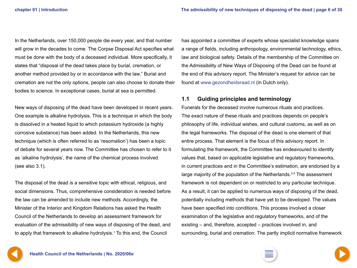<span id="page-5-0"></span>In the Netherlands, over 150,000 people die every year, and that number will grow in the decades to come. The Corpse Disposal Act specifies what must be done with the body of a deceased individual. More specifically, it states that "disposal of the dead takes place by burial, cremation, or another method provided by or in accordance with the law." Burial and cremation are not the only options, people can also choose to donate their bodies to science. In exceptional cases, burial at sea is permitted.

New ways of disposing of the dead have been developed in recent years. One example is alkaline hydrolysis. This is a technique in which the body is dissolved in a heated liquid to which potassium hydroxide (a highly corrosive substance) has been added. In the Netherlands, this new technique (which is often referred to as 'resomation') has been a topic of debate for several years now. The Committee has chosen to refer to it as 'alkaline hydrolysis', the name of the chemical process involved (see also 3.1).

The disposal of the dead is a sensitive topic with ethical, religious, and social dimensions. Thus, comprehensive consideration is needed before the law can be amended to include new methods. Accordingly, the Minister of the Interior and Kingdom Relations has asked the Health Council of the Netherlands to develop an assessment framework for evaluation of the admissibility of new ways of disposing of the dead, and to apply that framework to alkaline hydrolysis.<sup>1</sup> To this end, the Council

has appointed a committee of experts whose specialist knowledge spans a range of fields, including anthropology, environmental technology, ethics, law and biological safety. Details of the membership of the Committee on the Admissibility of New Ways of Disposing of the Dead can be found at the end of this advisory report. The Minister's request for advice can be found at [www.gezondheidsraad.nl](http://www.gezondheidsraad.nl) (in Dutch only).

### **1.1 Guiding principles and terminology**

Funerals for the deceased involve numerous rituals and practices. The exact nature of these rituals and practices depends on people's philosophy of life, individual wishes, and cultural customs, as well as on the legal frameworks. The disposal of the dead is one element of that entire process. That element is the focus of this advisory report. In formulating the framework, the Committee has endeavoured to identify values that, based on applicable legislative and regulatory frameworks, in current practices and in the Committee's estimation, are endorsed by a large majority of the population of the Netherlands.<sup>2-5</sup> The assessment framework is not dependent on or restricted to any particular technique. As a result, it can be applied to numerous ways of disposing of the dead, potentially including methods that have yet to be developed. The values have been specified into conditions. This process involved a closer examination of the legislative and regulatory frameworks, and of the existing – and, therefore, accepted – practices involved in, and surrounding, burial and cremation. The partly implicit normative framework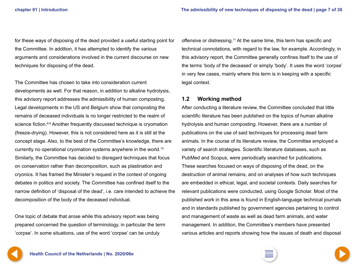<span id="page-6-0"></span>for these ways of disposing of the dead provided a useful starting point for the Committee. In addition, it has attempted to identify the various arguments and considerations involved in the current discourse on new techniques for disposing of the dead.

The Committee has chosen to take into consideration current developments as well. For that reason, in addition to alkaline hydrolysis, this advisory report addresses the admissibility of human composting. Legal developments in the US and Belgium show that composting the remains of deceased individuals is no longer restricted to the realm of science fiction.<sup>6-9</sup> Another frequently discussed technique is cryomation (freeze-drying). However, this is not considered here as it is still at the concept stage. Also, to the best of the Committee's knowledge, there are currently no operational cryomation systems anywhere in the world.10 Similarly, the Committee has decided to disregard techniques that focus on conservation rather than decomposition, such as plastination and cryonics. It has framed the Minister's request in the context of ongoing debates in politics and society. The Committee has confined itself to the narrow definition of 'disposal of the dead', i.e. care intended to achieve the decomposition of the body of the deceased individual.

One topic of debate that arose while this advisory report was being prepared concerned the question of terminology, in particular the term 'corpse'. In some situations, use of the word 'corpse' can be unduly

offensive or distressing.11 At the same time, this term has specific and technical connotations, with regard to the law, for example. Accordingly, in this advisory report, the Committee generally confines itself to the use of the terms 'body of the deceased' or simply 'body'. It uses the word 'corpse' in very few cases, mainly where this term is in keeping with a specific legal context.

#### **1.2 Working method**

After conducting a literature review, the Committee concluded that little scientific literature has been published on the topics of human alkaline hydrolysis and human composting. However, there are a number of publications on the use of said techniques for processing dead farm animals. In the course of its literature review, the Committee employed a variety of search strategies. Scientific literature databases, such as PubMed and Scopus, were periodically searched for publications. These searches focused on ways of disposing of the dead, on the destruction of animal remains, and on analyses of how such techniques are embedded in ethical, legal, and societal contexts. Daily searches for relevant publications were conducted, using Google Scholar. Most of the published work in this area is found in English-language technical journals and in standards published by government agencies pertaining to control and management of waste as well as dead farm animals, and water management. In addition, the Committee's members have presented various articles and reports showing how the issues of death and disposal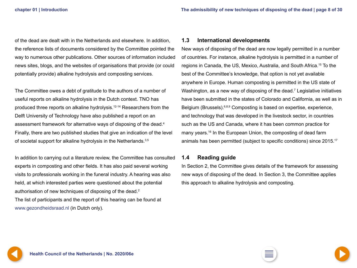<span id="page-7-0"></span>of the dead are dealt with in the Netherlands and elsewhere. In addition, the reference lists of documents considered by the Committee pointed the way to numerous other publications. Other sources of information included news sites, blogs, and the websites of organisations that provide (or could potentially provide) alkaline hydrolysis and composting services.

The Committee owes a debt of gratitude to the authors of a number of useful reports on alkaline hydrolysis in the Dutch context. TNO has produced three reports on alkaline hydrolysis.12-14 Researchers from the Delft University of Technology have also published a report on an assessment framework for alternative ways of disposing of the dead.4 Finally, there are two published studies that give an indication of the level of societal support for alkaline hydrolysis in the Netherlands.<sup>3,5</sup>

In addition to carrying out a literature review, the Committee has consulted experts in composting and other fields. It has also paid several working visits to professionals working in the funeral industry. A hearing was also held, at which interested parties were questioned about the potential authorisation of new techniques of disposing of the dead.<sup>2</sup> The list of participants and the report of this hearing can be found at

#### **1.3 International developments**

New ways of disposing of the dead are now legally permitted in a number of countries. For instance, alkaline hydrolysis is permitted in a number of regions in Canada, the US, Mexico, Australia, and South Africa.15 To the best of the Committee's knowledge, that option is not yet available anywhere in Europe. Human composting is permitted in the US state of Washington, as a new way of disposing of the dead.<sup>7</sup> Legislative initiatives have been submitted in the states of Colorado and California, as well as in Belgium (Brussels).<sup>6,8,9</sup> Composting is based on expertise, experience, and technology that was developed in the livestock sector, in countries such as the US and Canada, where it has been common practice for many years.<sup>16</sup> In the European Union, the composting of dead farm animals has been permitted (subject to specific conditions) since 2015.<sup>17</sup>

#### **1.4 Reading guide**

In Section 2, the Committee gives details of the framework for assessing new ways of disposing of the dead. In Section 3, the Committee applies this approach to alkaline hydrolysis and composting.



[www.gezondheidsraad.nl](http://www.gezondheidsraad.nl) (in Dutch only).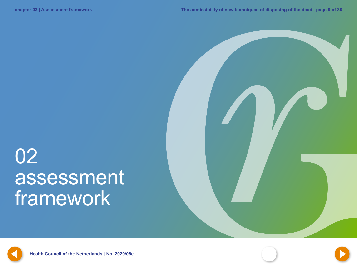## <span id="page-8-0"></span>02 assessment framework







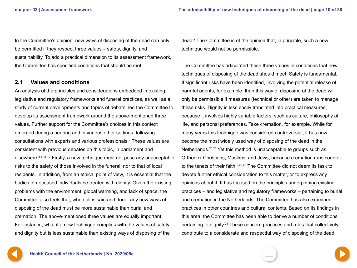<span id="page-9-0"></span>In the Committee's opinion, new ways of disposing of the dead can only be permitted if they respect three values – safety, dignity, and sustainability. To add a practical dimension to its assessment framework, the Committee has specified conditions that should be met.

#### **2.1 Values and conditions**

An analysis of the principles and considerations embedded in existing legislative and regulatory frameworks and funeral practices, as well as a study of current developments and topics of debate, led the Committee to develop its assessment framework around the above-mentioned three values. Further support for the Committee's choices in this context emerged during a hearing and in various other settings, following consultations with experts and various professionals.2 These values are consistent with previous debates on this topic, in parliament and elsewhere.3-5,18,19 Firstly, a new technique must not pose any unacceptable risks to the safety of those involved in the funeral, nor to that of local residents. In addition, from an ethical point of view, it is essential that the bodies of deceased individuals be treated with dignity. Given the existing problems with the environment, global warming, and lack of space, the Committee also feels that, when all is said and done, any new ways of disposing of the dead must be more sustainable than burial and cremation. The above-mentioned three values are equally important. For instance, what if a new technique complies with the values of safety and dignity but is less sustainable than existing ways of disposing of the

dead? The Committee is of the opinion that, in principle, such a new technique would not be permissible.

The Committee has articulated these three values in conditions that new techniques of disposing of the dead should meet. Safety is fundamental. If significant risks have been identified, involving the potential release of harmful agents, for example, then this way of disposing of the dead will only be permissible if measures (technical or other) are taken to manage these risks. Dignity is less easily translated into practical measures, because it involves highly variable factors, such as culture, philosophy of life, and personal preferences. Take cremation, for example. While for many years this technique was considered controversial, it has now become the most widely used way of disposing of the dead in the Netherlands.20,21 Yet this method is unacceptable to groups such as Orthodox Christians, Muslims, and Jews, because cremation runs counter to the tenets of their faith.2,22,23 The Committee did not deem its task to devote further ethical consideration to this matter, or to express any opinions about it. It has focused on the principles underpinning existing practices – and legislative and regulatory frameworks – pertaining to burial and cremation in the Netherlands. The Committee has also examined practices in other countries and cultural contexts. Based on its findings in this area, the Committee has been able to derive a number of conditions pertaining to dignity.24 These concern practices and rules that collectively contribute to a considerate and respectful way of disposing of the dead.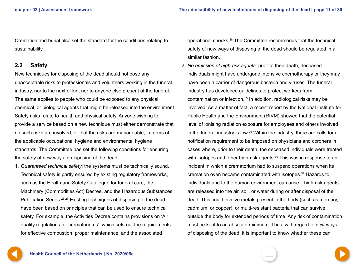<span id="page-10-0"></span>Cremation and burial also set the standard for the conditions relating to sustainability.

#### **2.2 Safety**

New techniques for disposing of the dead should not pose any unacceptable risks to professionals and volunteers working in the funeral industry, nor to the next of kin, nor to anyone else present at the funeral. The same applies to people who could be exposed to any physical, chemical, or biological agents that might be released into the environment. Safety risks relate to health and physical safety. Anyone wishing to provide a service based on a new technique must either demonstrate that no such risks are involved, or that the risks are manageable, in terms of the applicable occupational hygiene and environmental hygiene standards. The Committee has set the following conditions for ensuring the safety of new ways of disposing of the dead:

1. *Guaranteed technical safety*: the systems must be technically sound. Technical safety is partly ensured by existing regulatory frameworks, such as the Health and Safety Catalogue for funeral care, the Machinery (Commodities Act) Decree, and the Hazardous Substances Publication Series.25-27 Existing techniques of disposing of the dead have been based on principles that can be used to ensure technical safety. For example, the Activities Decree contains provisions on 'Air quality regulations for crematoriums', which sets out the requirements for effective combustion, proper maintenance, and the associated

operational checks.28 The Committee recommends that the technical safety of new ways of disposing of the dead should be regulated in a similar fashion.

2. *No emission of high-risk agents*: prior to their death, deceased individuals might have undergone intensive chemotherapy or they may have been a carrier of dangerous bacteria and viruses. The funeral industry has developed guidelines to protect workers from contamination or infection.25 In addition, radiological risks may be involved. As a matter of fact, a recent report by the National Institute for Public Health and the Environment (RIVM) showed that the potential level of ionising radiation exposure for employees and others involved in the funeral industry is low.29 Within the industry, there are calls for a notification requirement to be imposed on physicians and coroners in cases where, prior to their death, the deceased individuals were treated with isotopes and other high-risk agents.<sup>30</sup> This was in response to an incident in which a crematorium had to suspend operations when its cremation oven became contaminated with isotopes.31 Hazards to individuals and to the human environment can arise if high-risk agents are released into the air, soil, or water during or after disposal of the dead. This could involve metals present in the body (such as mercury, cadmium, or copper), or multi-resistant bacteria that can survive outside the body for extended periods of time. Any risk of contamination must be kept to an absolute minimum. Thus, with regard to new ways of disposing of the dead, it is important to know whether these can

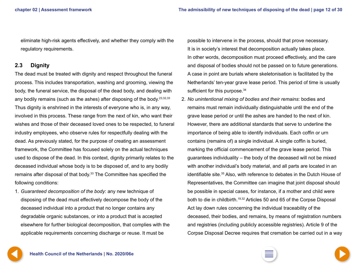<span id="page-11-0"></span>eliminate high-risk agents effectively, and whether they comply with the regulatory requirements.

### **2.3 Dignity**

The dead must be treated with dignity and respect throughout the funeral process. This includes transportation, washing and grooming, viewing the body, the funeral service, the disposal of the dead body, and dealing with any bodily remains (such as the ashes) after disposing of the body.  $23,32,33$ Thus dignity is enshrined in the interests of everyone who is, in any way, involved in this process. These range from the next of kin, who want their wishes and those of their deceased loved ones to be respected, to funeral industry employees, who observe rules for respectfully dealing with the dead. As previously stated, for the purpose of creating an assessment framework, the Committee has focused solely on the actual techniques used to dispose of the dead. In this context, dignity primarily relates to the deceased individual whose body is to be disposed of, and to any bodily remains after disposal of that body.<sup>33</sup> The Committee has specified the following conditions:

1. *Guaranteed decomposition of the body*: any new technique of disposing of the dead must effectively decompose the body of the deceased individual into a product that no longer contains any degradable organic substances, or into a product that is accepted elsewhere for further biological decomposition, that complies with the applicable requirements concerning discharge or reuse. It must be

possible to intervene in the process, should that prove necessary. It is in society's interest that decomposition actually takes place. In other words, decomposition must proceed effectively, and the care and disposal of bodies should not be passed on to future generations. A case in point are burials where skeletonisation is facilitated by the Netherlands' ten-year grave lease period. This period of time is usually sufficient for this purpose.<sup>34</sup>

2. *No unintentional mixing of bodies and their remains*: bodies and remains must remain individually distinguishable until the end of the grave lease period or until the ashes are handed to the next of kin. However, there are additional standards that serve to underline the importance of being able to identify individuals. Each coffin or urn contains (remains of) a single individual. A single coffin is buried, marking the official commencement of the grave lease period. This guarantees individuality – the body of the deceased will not be mixed with another individual's body material, and all parts are located in an identifiable site.35 Also, with reference to debates in the Dutch House of Representatives, the Committee can imagine that joint disposal should be possible in special cases, for instance, if a mother and child were both to die in childbirth.19,32 Articles 50 and 65 of the Corpse Disposal Act lay down rules concerning the individual traceability of the deceased, their bodies, and remains, by means of registration numbers and registries (including publicly accessible registries). Article 9 of the Corpse Disposal Decree requires that cremation be carried out in a way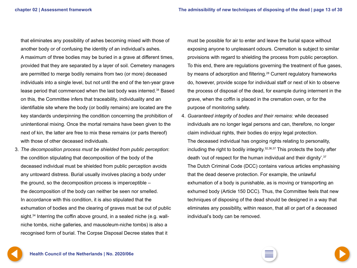<span id="page-12-0"></span>that eliminates any possibility of ashes becoming mixed with those of another body or of confusing the identity of an individual's ashes. A maximum of three bodies may be buried in a grave at different times, provided that they are separated by a layer of soil. Cemetery managers are permitted to merge bodily remains from two (or more) deceased individuals into a single level, but not until the end of the ten-year grave lease period that commenced when the last body was interred.<sup>34</sup> Based on this, the Committee infers that traceability, individuality and an identifiable site where the body (or bodily remains) are located are the key standards underpinning the condition concerning the prohibition of unintentional mixing. Once the mortal remains have been given to the next of kin, the latter are free to mix these remains (or parts thereof) with those of other deceased individuals.

3. *The decomposition process must be shielded from public perception*: the condition stipulating that decomposition of the body of the deceased individual must be shielded from public perception avoids any untoward distress. Burial usually involves placing a body under the ground, so the decomposition process is imperceptible – the decomposition of the body can neither be seen nor smelled. In accordance with this condition, it is also stipulated that the exhumation of bodies and the clearing of graves must be out of public sight.<sup>34</sup> Interring the coffin above ground, in a sealed niche (e.g. wallniche tombs, niche galleries, and mausoleum-niche tombs) is also a recognised form of burial. The Corpse Disposal Decree states that it

must be possible for air to enter and leave the burial space without exposing anyone to unpleasant odours. Cremation is subject to similar provisions with regard to shielding the process from public perception. To this end, there are regulations governing the treatment of flue gases, by means of adsorption and filtering.<sup>28</sup> Current regulatory frameworks do, however, provide scope for individual staff or next of kin to observe the process of disposal of the dead, for example during interment in the grave, when the coffin is placed in the cremation oven, or for the purpose of monitoring safety.

4. *Guaranteed integrity of bodies and their remains*: while deceased individuals are no longer legal persons and can, therefore, no longer claim individual rights, their bodies do enjoy legal protection. The deceased individual has ongoing rights relating to personality, including the right to bodily integrity.  $32,36,37$  This protects the body after death 'out of respect for the human individual and their dignity'.<sup>37</sup> The Dutch Criminal Code (DCC) contains various articles emphasising that the dead deserve protection. For example, the unlawful exhumation of a body is punishable, as is moving or transporting an exhumed body (Article 150 DCC). Thus, the Committee feels that new techniques of disposing of the dead should be designed in a way that eliminates any possibility, within reason, that all or part of a deceased individual's body can be removed.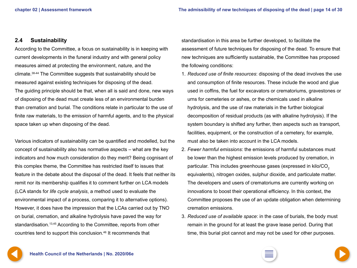### <span id="page-13-0"></span>**2.4 Sustainability**

According to the Committee, a focus on sustainability is in keeping with current developments in the funeral industry and with general policy measures aimed at protecting the environment, nature, and the climate.38-44 The Committee suggests that sustainability should be measured against existing techniques for disposing of the dead. The guiding principle should be that, when all is said and done, new ways of disposing of the dead must create less of an environmental burden than cremation and burial. The conditions relate in particular to the use of finite raw materials, to the emission of harmful agents, and to the physical space taken up when disposing of the dead.

Various indicators of sustainability can be quantified and modelled, but the concept of sustainability also has normative aspects – what are the key indicators and how much consideration do they merit? Being cognisant of this complex theme, the Committee has restricted itself to issues that feature in the debate about the disposal of the dead. It feels that neither its remit nor its membership qualifies it to comment further on LCA models (LCA stands for *life cycle analysis*, a method used to evaluate the environmental impact of a process, comparing it to alternative options). However, it does have the impression that the LCAs carried out by TNO on burial, cremation, and alkaline hydrolysis have paved the way for standardisation.<sup>13,45</sup> According to the Committee, reports from other countries tend to support this conclusion.46 It recommends that

standardisation in this area be further developed, to facilitate the assessment of future techniques for disposing of the dead. To ensure that new techniques are sufficiently sustainable, the Committee has proposed the following conditions:

- 1. *Reduced use of finite resources*: disposing of the dead involves the use and consumption of finite resources. These include the wood and glue used in coffins, the fuel for excavators or crematoriums, gravestones or urns for cemeteries or ashes, or the chemicals used in alkaline hydrolysis, and the use of raw materials in the further biological decomposition of residual products (as with alkaline hydrolysis). If the system boundary is shifted any further, then aspects such as transport, facilities, equipment, or the construction of a cemetery, for example, must also be taken into account in the LCA models.
- 2. *Fewer harmful emissions*: the emissions of harmful substances must be lower than the highest emission levels produced by cremation, in particular. This includes greenhouse gases (expressed in kilo/CO<sub>2</sub> equivalents), nitrogen oxides, sulphur dioxide, and particulate matter. The developers and users of crematoriums are currently working on innovations to boost their operational efficiency. In this context, the Committee proposes the use of an update obligation when determining cremation emissions.
- 3. *Reduced use of available space*: in the case of burials, the body must remain in the ground for at least the grave lease period. During that time, this burial plot cannot and may not be used for other purposes.

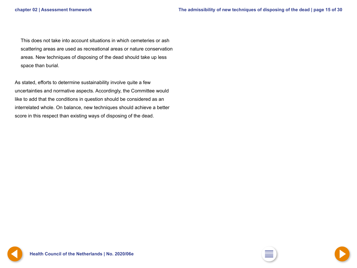<span id="page-14-0"></span>This does not take into account situations in which cemeteries or ash scattering areas are used as recreational areas or nature conservation areas. New techniques of disposing of the dead should take up less space than burial.

As stated, efforts to determine sustainability involve quite a few uncertainties and normative aspects. Accordingly, the Committee would like to add that the conditions in question should be considered as an interrelated whole. On balance, new techniques should achieve a better score in this respect than existing ways of disposing of the dead.

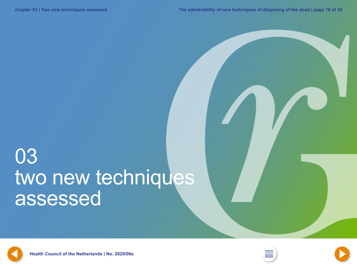## <span id="page-15-0"></span>03 two new techniques assessed





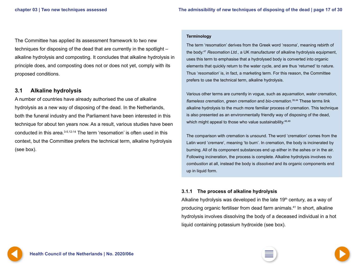<span id="page-16-0"></span>The Committee has applied its assessment framework to two new techniques for disposing of the dead that are currently in the spotlight – alkaline hydrolysis and composting. It concludes that alkaline hydrolysis in principle does, and composting does not or does not yet, comply with its proposed conditions.

### **3.1 Alkaline hydrolysis**

A number of countries have already authorised the use of alkaline hydrolysis as a new way of disposing of the dead. In the Netherlands, both the funeral industry and the Parliament have been interested in this technique for about ten years now. As a result, various studies have been conducted in this area.<sup>3-5,12-14</sup> The term 'resomation' is often used in this context, but the Committee prefers the technical term, alkaline hydrolysis (see box).

#### **Terminology**

The term 'resomation' derives from the Greek word '*resoma*', meaning rebirth of the body.47 *Resomation Ltd.*, a UK manufacturer of alkaline hydrolysis equipment, uses this term to emphasise that a hydrolysed body is converted into organic elements that quickly return to the water cycle, and are thus 'returned' to nature. Thus '*resomation*' is, in fact, a marketing term. For this reason, the Committee prefers to use the technical term, alkaline hydrolysis.

Various other terms are currently in vogue, such as *aquamation*, *water cremation*, *flameless cremation*, *green cremation* and *bio-cremation*. 39,44 These terms link alkaline hydrolysis to the much more familiar process of cremation. This technique is also presented as an environmentally friendly way of disposing of the dead, which might appeal to those who value sustainability.<sup>48,49</sup>

The comparison with cremation is unsound. The word 'cremation' comes from the Latin word '*cremare*', meaning 'to burn'. In cremation, the body is incinerated by burning. All of its component substances end up either in the ashes or in the air. Following incineration, the process is complete. Alkaline hydrolysis involves no *combustion* at all, instead the body is *dissolved* and its organic components end up in liquid form.

#### **3.1.1 The process of alkaline hydrolysis**

Alkaline hydrolysis was developed in the late  $19<sup>th</sup>$  century, as a way of producing organic fertiliser from dead farm animals.41 In short, alkaline hydrolysis involves dissolving the body of a deceased individual in a hot liquid containing potassium hydroxide (see box).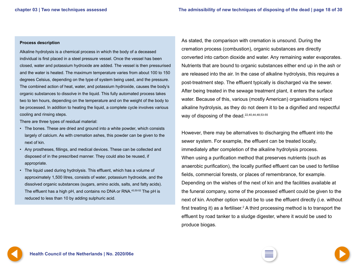#### <span id="page-17-0"></span>**Process description**

Alkaline hydrolysis is a chemical process in which the body of a deceased individual is first placed in a steel pressure vessel. Once the vessel has been closed, water and potassium hydroxide are added. The vessel is then pressurised and the water is heated. The maximum temperature varies from about 100 to 150 degrees Celsius, depending on the type of system being used, and the pressure. The combined action of heat, water, and potassium hydroxide, causes the body's organic substances to dissolve in the liquid. This fully automated process takes two to ten hours, depending on the temperature and on the weight of the body to be processed. In addition to heating the liquid, a complete cycle involves various cooling and rinsing steps.

There are three types of residual material:

- The bones. These are dried and ground into a white powder, which consists largely of calcium. As with cremation ashes, this powder can be given to the next of kin.
- Any prostheses, fillings, and medical devices. These can be collected and disposed of in the prescribed manner. They could also be reused, if appropriate.
- The liquid used during hydrolysis. This effluent, which has a volume of approximately 1,500 litres, consists of water, potassium hydroxide, and the dissolved organic substances (sugars, amino acids, salts, and fatty acids). The effluent has a high pH, and contains no DNA or RNA.43,50-52 The pH is reduced to less than 10 by adding sulphuric acid.

As stated, the comparison with cremation is unsound. During the cremation process (combustion), organic substances are directly converted into carbon dioxide and water. Any remaining water evaporates. Nutrients that are bound to organic substances either end up in the ash or are released into the air. In the case of alkaline hydrolysis, this requires a post-treatment step. The effluent typically is discharged via the sewer. After being treated in the sewage treatment plant, it enters the surface water. Because of this, various (mostly American) organisations reject alkaline hydrolysis, as they do not deem it to be a dignified and respectful way of disposing of the dead.<sup>22,40,44,48,53-55</sup>

However, there may be alternatives to discharging the effluent into the sewer system. For example, the effluent can be treated locally, immediately after completion of the alkaline hydrolysis process. When using a purification method that preserves nutrients (such as anaerobic purification), the locally purified effluent can be used to fertilise fields, commercial forests, or places of remembrance, for example. Depending on the wishes of the next of kin and the facilities available at the funeral company, some of the processed effluent could be given to the next of kin. Another option would be to use the effluent directly (i.e. without first treating it) as a fertiliser.<sup>2</sup> A third processing method is to transport the effluent by road tanker to a sludge digester, where it would be used to produce biogas.



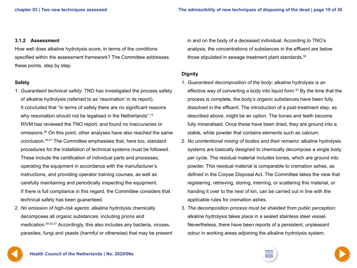#### <span id="page-18-0"></span>**3.1.2 Assessment**

How well does alkaline hydrolysis score, in terms of the conditions specified within the assessment framework? The Committee addresses these points, step by step.

#### **Safety**

- 1. *Guaranteed technical safety*: TNO has investigated the process safety of alkaline hydrolysis (referred to as 'resomation' in its report). It concluded that "in terms of safety there are no significant reasons why resomation should not be legalised in the Netherlands".<sup>14</sup> RIVM has reviewed the TNO report, and found no inaccuracies or omissions.56 On this point, other analyses have also reached the same conclusion.50,57 The Committee emphasises that, here too, standard procedures for the installation of technical systems must be followed. These include the certification of individual parts and processes, operating the equipment in accordance with the manufacturer's instructions, and providing operator training courses, as well as carefully maintaining and periodically inspecting the equipment. If there is full compliance in this regard, the Committee considers that technical safety has been guaranteed.
- 2. *No emission of high-risk agents*: alkaline hydrolysis chemically decomposes all organic substances, including prions and medication.50-52,57 Accordingly, this also includes any bacteria, viruses, parasites, fungi and yeasts (harmful or otherwise) that may be present

in and on the body of a deceased individual. According to TNO's analysis, the concentrations of substances in the effluent are below those stipulated in sewage treatment plant standards.<sup>58</sup>

#### **Dignity**

- 1. *Guaranteed decomposition of the body*: alkaline hydrolysis is an effective way of converting a body into liquid form.52 By the time that the process is complete, the body's organic substances have been fully dissolved in the effluent. The introduction of a post-treatment step, as described above, might be an option. The bones and teeth become fully mineralised. Once these have been dried, they are ground into a stable, white powder that contains elements such as calcium.
- 2. *No unintentional mixing of bodies and their remains*: alkaline hydrolysis systems are basically designed to chemically decompose a single body per cycle. The residual material includes bones, which are ground into powder. This residual material is comparable to cremation ashes, as defined in the Corpse Disposal Act. The Committee takes the view that registering, retrieving, storing, interring, or scattering this material, or handing it over to the next of kin, can be carried out in line with the applicable rules for cremation ashes.
- 3. *The decomposition process must be shielded from public perception*: alkaline hydrolysis takes place in a sealed stainless steel vessel. Nevertheless, there have been reports of a persistent, unpleasant odour in working areas adjoining the alkaline hydrolysis system.

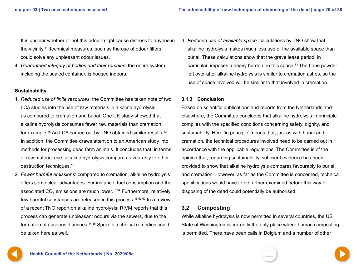<span id="page-19-0"></span>It is unclear whether or not this odour might cause distress to anyone in the vicinity.14 Technical measures, such as the use of odour filters, could solve any unpleasant odour issues.

4. *Guaranteed integrity of bodies and their remains*: the entire system, including the sealed container, is housed indoors.

#### **Sustainability**

- 1. *Reduced use of finite resources*: the Committee has taken note of two LCA studies into the use of raw materials in alkaline hydrolysis, as compared to cremation and burial. One UK study showed that alkaline hydrolysis consumes fewer raw materials than cremation, for example.46 An LCA carried out by TNO obtained similar results.13 In addition, the Committee draws attention to an American study into methods for processing dead farm animals. It concludes that, in terms of raw material use, alkaline hydrolysis compares favourably to other destruction techniques.16
- 2. *Fewer harmful emissions*: compared to cremation, alkaline hydrolysis offers some clear advantages. For instance, fuel consumption and the associated CO $_2$  emissions are much lower. $^{16,59}$  Furthermore, relatively few harmful substances are released in this process.16,52,60 In a review of a recent TNO report on alkaline hydrolysis, RIVM reports that this process can generate unpleasant odours via the sewers, due to the formation of gaseous diamines.14,56 Specific technical remedies could be taken here as well.

3. *Reduced use of available space*: calculations by TNO show that alkaline hydrolysis makes much less use of the available space than burial. These calculations show that the grave lease period, in particular, imposes a heavy burden on this space.13 The bone powder left over after alkaline hydrolysis is similar to cremation ashes, so the use of space involved will be similar to that involved in cremation.

#### **3.1.3 Conclusion**

Based on scientific publications and reports from the Netherlands and elsewhere, the Committee concludes that alkaline hydrolysis in principle complies with the specified conditions concerning safety, dignity, and sustainability. Here 'in principle' means that, just as with burial and cremation, the technical procedures involved need to be carried out in accordance with the applicable regulations. The Committee is of the opinion that, regarding sustainability, sufficient evidence has been provided to show that alkaline hydrolysis compares favourably to burial and cremation. However, as far as the Committee is concerned, technical specifications would have to be further examined before this way of disposing of the dead could potentially be authorised.

#### **3.2 Composting**

While alkaline hydrolysis is now permitted in several countries, the US State of Washington is currently the only place where human composting is permitted. There have been calls in Belgium and a number of other

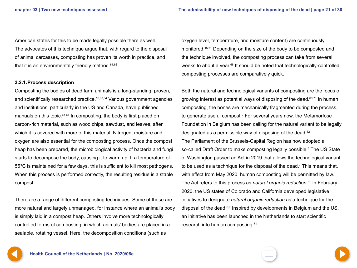<span id="page-20-0"></span>American states for this to be made legally possible there as well. The advocates of this technique argue that, with regard to the disposal of animal carcasses, composting has proven its worth in practice, and that it is an environmentally friendly method. $61,62$ 

#### **3.2.1.Process description**

Composting the bodies of dead farm animals is a long-standing, proven, and scientifically researched practice.16,63,64 Various government agencies and institutions, particularly in the US and Canada, have published manuals on this topic.<sup>65-67</sup> In composting, the body is first placed on carbon-rich material, such as wood chips, sawdust, and leaves, after which it is covered with more of this material. Nitrogen, moisture and oxygen are also essential for the composting process. Once the compost heap has been prepared, the microbiological activity of bacteria and fungi starts to decompose the body, causing it to warm up. If a temperature of 55°C is maintained for a few days, this is sufficient to kill most pathogens. When this process is performed correctly, the resulting residue is a stable compost.

There are a range of different composting techniques. Some of these are more natural and largely unmanaged, for instance where an animal's body is simply laid in a compost heap. Others involve more technologically controlled forms of composting, in which animals' bodies are placed in a sealable, rotating vessel. Here, the decomposition conditions (such as

oxygen level, temperature, and moisture content) are continuously monitored.16,64 Depending on the size of the body to be composted and the technique involved, the composting process can take from several weeks to about a year.<sup>68</sup> It should be noted that technologically-controlled composting processes are comparatively quick.

Both the natural and technological variants of composting are the focus of growing interest as potential ways of disposing of the dead.<sup>69,70</sup> In human composting, the bones are mechanically fragmented during the process, to generate useful compost.<sup>2</sup> For several years now, the Metamorfose Foundation in Belgium has been calling for the natural variant to be legally designated as a permissible way of disposing of the dead.62 The Parliament of the Brussels-Capital Region has now adopted a so-called Draft Order to make composting legally possible.<sup>6</sup> The US State of Washington passed an Act in 2019 that allows the technological variant to be used as a technique for the disposal of the dead.<sup>7</sup> This means that, with effect from May 2020, human composting will be permitted by law. The Act refers to this process as *natural organic reduction*. 61 In February 2020, the US states of Colorado and California developed legislative initiatives to designate *natural organic reduction* as a technique for the disposal of the dead.<sup>8,9</sup> Inspired by developments in Belgium and the US, an initiative has been launched in the Netherlands to start scientific research into human composting.71



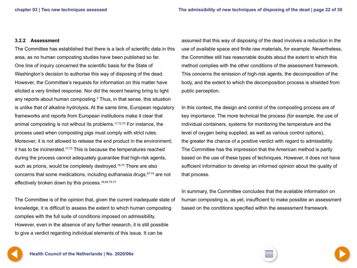#### <span id="page-21-0"></span>**3.2.2 Assessment**

The Committee has established that there is a lack of scientific data in this area, as no human composting studies have been published so far. One line of inquiry concerned the scientific basis for the State of Washington's decision to authorise this way of disposing of the dead. However, the Committee's requests for information on this matter have elicited a very limited response. Nor did the recent hearing bring to light any reports about human composting.<sup>2</sup> Thus, in that sense, this situation is unlike that of alkaline hydrolysis. At the same time, European regulatory frameworks and reports from European institutions make it clear that animal composting is not without its problems.17,72,73 For instance, the process used when composting pigs must comply with strict rules. Moreover, it is not allowed to release the end product in the environment; it has to be incinerated.<sup>17,73</sup> This is because the temperatures reached during the process cannot adequately guarantee that high-risk agents, such as prions, would be completely destroyed.<sup>16,73</sup> There are also concerns that some medications, including euthanasia drugs, $67,74$  are not effectively broken down by this process.<sup>16,64,75-77</sup>

The Committee is of the opinion that, given the current inadequate state of knowledge, it is difficult to assess the extent to which human composting complies with the full suite of conditions imposed on admissibility. However, even in the absence of any further research, it is still possible to give a verdict regarding individual elements of this issue. It can be

assumed that this way of disposing of the dead involves a reduction in the use of available space and finite raw materials, for example. Nevertheless, the Committee still has reasonable doubts about the extent to which this method complies with the other conditions of the assessment framework. This concerns the emission of high-risk agents, the decomposition of the body, and the extent to which the decomposition process is shielded from public perception.

In this context, the design and control of the composting process are of key importance. The more technical the process (for example, the use of individual containers, systems for monitoring the temperature and the level of oxygen being supplied, as well as various control options), the greater the chance of a positive verdict with regard to admissibility. The Committee has the impression that the American method is partly based on the use of these types of techniques. However, it does not have sufficient information to develop an informed opinion about the quality of that process.

In summary, the Committee concludes that the available information on human composting is, as yet, insufficient to make possible an assessment based on the conditions specified within the assessment framework.

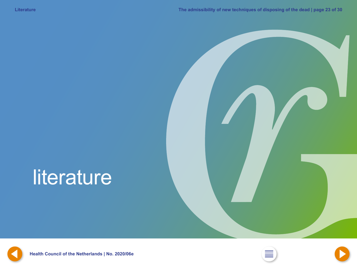## <span id="page-22-0"></span>literature







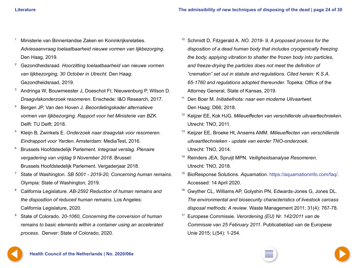- <span id="page-23-0"></span><sup>1</sup> Ministerie van Binnenlandse Zaken en Koninkrijksrelaties. *Adviesaanvraag toelaatbaarheid nieuwe vormen van lijkbezorging*. Den Haag, 2019.
- <sup>2</sup> Gezondheidsraad. *Hoorzitting toelaatbaarheid van nieuwe vormen van lijkbezorging, 30 October in Utrecht*. Den Haag: Gezondheidsraad, 2019.
- <sup>3</sup> Andringa W, Bouwmeester J, Doeschot Ft, Nieuwenburg P, Wilson D. *Draagvlakonderzoek resomeren*. Enschede: I&O Research, 2017.
- <sup>4</sup> Bergen JP, Van den Hoven J. *Beoordelingskader alternatieve vormen van lijkbezorging. Rapport voor het Ministerie van BZK*. Delft: TU Delft; 2018.
- <sup>5</sup> Kleijn B, Zwinkels E. *Onderzoek naar draagvlak voor resomeren. Eindrapport voor Yarden*. Amsterdam: MediaTest, 2016.
- <sup>6</sup> Brussels Hoofdstedelijk Parlement. *Integraal verslag. Plenaire vergadering van vrijdag 9 November 2018*. Brussel: Brussels Hoofdstedelijk Parlement. Vergaderjaar 2018.
- <sup>7</sup> State of Washington. *SB 5001 2019-20, Concerning human remains.*  Olympia: State of Washington, 2019.
- <sup>8</sup> California Legislature. *AB-2592 Reduction of human remains and the disposition of reduced human remains*. Los Angeles: California Legislature, 2020.
- <sup>9</sup> State of Colorado. *20-1060, Concerning the conversion of human remains to basic elements within a container using an accelerated process*. Denver: State of Colorado; 2020.
- <sup>10</sup> Schmidt D, Fitzgerald A. *NO. 2019- 9, A proposed process for the disposition of a dead human body that includes cryogenically freezing the body, applying vibration to shatter the frozen body into particles, and freeze-drying the particles does not meet the definition of "cremation" set out in statute and regulations. Cited herein: K.S.A. 65-1760 and regulations adopted thereunder.* Topeka: Office of the Attorney General, State of Kansas, 2019.
- <sup>11</sup> Den Boer M. *Initiatiefnota: naar een moderne Uitvaartwet*. Den Haag: D66; 2018.
- <sup>12</sup> Keijzer EE, Kok HJG. *Milieueffecten van verschillende uitvaarttechnieken*. Utrecht: TNO, 2011.
- <sup>13</sup> Keijzer EE, Broeke Ht, Ansems AMM. *Milieueffecten van verschillende uitvaarttechnieken - update van eerder TNO-onderzoek*. Utrecht: TNO, 2014.
- <sup>14</sup> Reinders JEA, Spruijt MPN. *Veiligheidsanalyse Resomeren*. Utrecht: TNO, 2018.
- <sup>15</sup> BioResponse Solutions. *Aquamation*. <https://aquamationinfo.com/faq/>. Accessed: 14 April 2020.
- <sup>16</sup> Gwyther CL, Williams AP, Golyshin PN, Edwards-Jones G, Jones DL. *The environmental and biosecurity characteristics of livestock carcass disposal methods: A review*. Waste Management 2011; 31(4): 767-78.
- <sup>17</sup> Europese Commissie. *Verordening (EU) Nr. 142/2011 van de Commissie van 25 February 2011*. Publicatieblad van de Europese Unie 2015; L(54): 1-254.





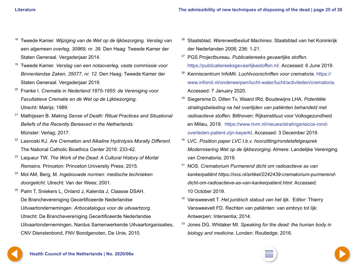- <span id="page-24-0"></span><sup>18</sup> Tweede Kamer. *Wijziging van de Wet op de lijkbezorging. Verslag van een algemeen overleg, 30969, nr. 39*. Den Haag: Tweede Kamer der Staten Generaal. Vergaderjaar 2014.
- <sup>19</sup> Tweede Kamer. *Verslag van een notaoverleg, vaste commissie voor Binnenlandse Zaken, 35077, nr. 12*. Den Haag: Tweede Kamer der Staten Generaal. Vergaderjaar 2019.
- <sup>20</sup> Franke I. *Crematie in Nederland 1875-1955: de Vereniging voor Facultatieve Crematie en de Wet op de Lijkbezorging*. Utrecht: Matrijs; 1989.
- <sup>21</sup> Mathijssen B. *Making Sense of Death: Ritual Practices and Situational Beliefs of the Recently Bereaved in the Netherlands*. Münster: Verlag; 2017.
- <sup>22</sup> Lasnoski KJ. *Are Cremation and Alkaline Hydrolysis Morally Different*. The National Catholic Bioethics Center 2016: 233-42.
- <sup>23</sup> Laqueur TW. *The Work of the Dead: A Cultural History of Mortal Remains.* Princeton: Princeton University Press; 2015.
- <sup>24</sup> Mol AM, Berg, M. *Ingebouwde normen: medische technieken doorgelicht*. Utrecht: Van der Wees; 2001.
- <sup>25</sup> Palm T, Sniekers L, Onland J, Kalenda J, Claasse DSAH. De Branchevereniging Gecertificeerde Nederlandse Uitvaartondernemingen. *Arbocatalogus voor de uitvaartzorg*. Utrecht: De Branchevereniging Gecertificeerde Nederlandse Uitvaartondernemingen, Nardus Samenwerkende Uitvaartorganisaties, CNV Dienstenbond, FNV Bondgenoten, De Unie, 2010.
- <sup>26</sup> Staatsblad. *Warenwetbesluit Machines*. Staatsblad van het Koninkrijk der Nederlanden 2008; 236: 1-21.
- <sup>27</sup> PGS Projectbureau. *Publicatiereeks gevaarlijke stoffen*. <https://publicatiereeksgevaarlijkestoffen.nl/>. Accessed: 6 June 2019.
- <sup>28</sup> Kenniscentrum InfoMil. *Luchtvoorschriften voor crematoria*. [https://](https://www.infomil.nl/onderwerpen/lucht-water/lucht/activiteiten/crematoria) [www.infomil.nl/onderwerpen/lucht-water/lucht/activiteiten/crematoria](https://www.infomil.nl/onderwerpen/lucht-water/lucht/activiteiten/crematoria). Accessed: 7 January 2020.
- <sup>29</sup> Siegersma D, Dillen Tv, Waard IRd, Boudewijns LHA. *Potentiële stralingsbelasting na het overlijden van patiënten behandeld met radioactieve stoffen*. Bilthoven: Rijksinstituut voor Volksgezondheid en Milieu, 2019. [https://www.rivm.nl/nieuws/stralingsrisicos-rond](https://www.rivm.nl/nieuws/stralingsrisicos-rond-overleden-patient-zijn-beperkt)[overleden-patient-zijn-beperkt](https://www.rivm.nl/nieuws/stralingsrisicos-rond-overleden-patient-zijn-beperkt). Accessed: 3 December 2019.
- <sup>30</sup> LVC. *Position paper LVC t.b.v. hoorzitting/rondetafelgesprek Modernisering Wet op de lijkbezorging*. Almere: Landelijke Vereniging van Crematoria; 2019.
- <sup>31</sup> NOS. *Crematorium Purmerend dicht om radioactieve as van kankerpatiënt https://nos.nl/artikel/2242439-crematorium-purmerenddicht-om-radioactieve-as-van-kankerpatient.html*. Accessed: 10 October 2019.
- <sup>32</sup> Vansweevelt T. *Het juridisch statuut van het lijk*. Editor: Thierry Vansweevelt FD. Rechten van patiënten: van embryo tot lijk: Antwerpen: Intersentia; 2014.
- <sup>33</sup> Jones DG, Whitaker MI. *Speaking for the dead: the human body in biology and medicine*. Londen: Routledge; 2016.



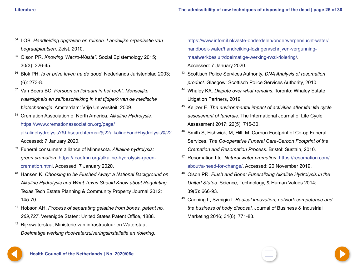- <span id="page-25-0"></span><sup>34</sup> LOB. *Handleiding opgraven en ruimen. Landelijke organisatie van begraafplaatsen*. Zeist, 2010.
- <sup>35</sup> Olson PR. *Knowing "Necro-Waste"*. Social Epistemology 2015; 30(3): 326-45.
- <sup>36</sup> Blok PH. *Is er prive leven na de dood*. Nederlands Juristenblad 2003; (6): 273-8.
- <sup>37</sup> Van Beers BC. *Persoon en lichaam in het recht. Menselijke waardigheid en zelfbeschikking in het tijdperk van de medische biotechnologie*. Amsterdam: Vrije Universiteit; 2009.
- <sup>38</sup> Cremation Association of North America. *Alkaline Hydrolysis.*  [https://www.cremationassociation.org/page/](https://www.cremationassociation.org/page/alkalinehydrolysis?&hhsearchterms=%22alkaline+and+hydrolysis%22) [alkalinehydrolysis?&hhsearchterms=%22alkaline+and+hydrolysis%22.](https://www.cremationassociation.org/page/alkalinehydrolysis?&hhsearchterms=%22alkaline+and+hydrolysis%22) Accessed: 7 January 2020.
- <sup>39</sup> Funeral consumers alliance of Minnesota. *Alkaline hydrolysis:*
- *green cremation*. [https://fcaofmn.org/alkaline-hydrolysis-green](https://fcaofmn.org/alkaline-hydrolysis-green-cremation.html)[cremation.html](https://fcaofmn.org/alkaline-hydrolysis-green-cremation.html). Accessed: 7 January 2020.
- <sup>40</sup> Hansen K. *Choosing to be Flushed Away: a National Background on Alkaline Hydrolysis and What Texas Should Know about Regulating*. Texas Tech Estate Planning & Community Property Journal 2012: 145-70.
- <sup>41</sup> Hobson AH. *Process of separating gelatine from bones, patent no. 269,727*. Verenigde Staten: United States Patent Office, 1888.
- <sup>42</sup> Rijkswaterstaat Ministerie van infrastructuur en Waterstaat. *Doelmatige werking rioolwaterzuiveringsinstallatie en riolering*.

[https://www.infomil.nl/vaste-onderdelen/onderwerpen/lucht-water/](https://www.infomil.nl/vaste-onderdelen/onderwerpen/lucht-water/handboek-water/handreiking-lozingen/schrijven-vergunning-maatwerkbesluit/doelmatige-werking-rwzi-riolering/) [handboek-water/handreiking-lozingen/schrijven-vergunning](https://www.infomil.nl/vaste-onderdelen/onderwerpen/lucht-water/handboek-water/handreiking-lozingen/schrijven-vergunning-maatwerkbesluit/doelmatige-werking-rwzi-riolering/)[maatwerkbesluit/doelmatige-werking-rwzi-riolering/](https://www.infomil.nl/vaste-onderdelen/onderwerpen/lucht-water/handboek-water/handreiking-lozingen/schrijven-vergunning-maatwerkbesluit/doelmatige-werking-rwzi-riolering/). Accessed: 7 January 2020.

- <sup>43</sup> Scottisch Police Services Authority. *DNA Analysis of resomation product*. Glasgow: Scottisch Police Services Authority, 2010.
- <sup>44</sup> Whaley KA. *Dispute over what remains*. Toronto: Whaley Estate Litigation Partners, 2019.
- <sup>45</sup> Keijzer E. *The environmental impact of activities after life: life cycle assessment of funerals*. The International Journal of Life Cycle Assessment 2017; 22(5): 715-30.
- <sup>46</sup> Smith S, Fishwick, M, Hill, M. Carbon Footprint of Co-op Funeral Services. *The Co-operative Funeral Care-Carbon Footprint of the Cremation and Resomation Process*. Bristol: Sustain, 2010.
- <sup>47</sup> Resomation Ltd. *Natural water cremation*. [https://resomation.com/](https://resomation.com/about/a-need-for-change/) [about/a-need-for-change/.](https://resomation.com/about/a-need-for-change/) Accessed: 20 November 2019.
- <sup>48</sup> Olson PR. *Flush and Bone: Funeralizing Alkaline Hydrolysis in the United States*. Science, Technology, & Human Values 2014; 39(5): 666-93.
- <sup>49</sup> Canning L, Szmigin I. *Radical innovation, network competence and the business of body disposal*. Journal of Business & Industrial Marketing 2016; 31(6): 771-83.

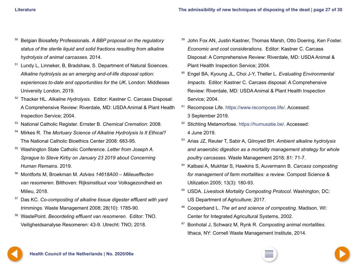- <span id="page-26-0"></span><sup>50</sup> Belgian Biosafety Professionals. *A BBP proposal on the regulatory status of the sterile liquid and solid fractions resulting from alkaline hydrolysis of animal carcasses*. 2014.
- Lundy L, Linneker, B, Bradshaw, S. Department of Natural Sciences. *Alkaline hydrolysis as an amerging and-of-life disposal option: experiences to-date and opportunities for the UK*. London: Middlesex University London, 2019.
- <sup>52</sup> Thacker HL. *Alkaline Hydrolysis*. Editor: Kastner C. Carcass Disposal: A Comprehensive Review: Riverdale, MD: USDA Animal & Plant Health Inspection Service; 2004.
- <sup>53</sup> National Catholic Register. Ernster B. *Chemical Cremation*: 2008.
- <sup>54</sup> Mirkes R. *The Mortuary Science of Alkaline Hydrolysis Is It Ethical?* The National Catholic Bioethics Center 2008: 683-95.
- <sup>55</sup> Washington State Catholic Conference. *Letter from Joseph A. Sprague to Steve Kirby on January 23 2019 about Concerning Human Remains*. 2019.
- <sup>56</sup> Montforts M, Broekman M. *Advies 14618A00 Milieueffecten van resomeren*. Bilthoven: Rijksinstituut voor Volksgezondheid en Milieu, 2018.
- <sup>57</sup> Das KC. *Co-composting of alkaline tissue digester effluent with yard trimmings*. Waste Management 2008; 28(10): 1785-90.
- <sup>58</sup> WastePoint. *Beoordeling effluent van resomeren*. Editor: TNO. Veiligheidsanalyse Resomeren: 43-9. Utrecht: TNO; 2018.
- <sup>59</sup> John Fox AN, Justin Kastner, Thomas Marsh, Otto Doering, Ken Foster. *Economic and cost considerations*. Editor: Kastner C. Carcass Disposal: A Comprehensive Review: Riverdale, MD: USDA Animal & Plant Health Inspection Service; 2004.
- <sup>60</sup> Engel BA, Kyoung JL, Choi J-Y, Theller L. *Evaluating Environmental Impacts*. Editor: Kastner C. Carcass disposal: A Comprehensive Review: Riverdale, MD: USDA Animal & Plant Health Inspection Service; 2004.
- <sup>61</sup> Recompose Life. <https://www.recompose.life/>. Accessed: 3 September 2019.
- <sup>62</sup> Stichting Metamorfose. [https://humusatie.be/.](https://humusatie.be/) Accessed: 4 June 2019.
- <sup>63</sup> Arias JZ, Reuter T, Sabir A, Gilroyed BH. *Ambient alkaline hydrolysis and anaerobic digestion as a mortality management strategy for whole poultry carcasses*. Waste Management 2018; 81: 71-7.
- <sup>64</sup> Kalbasi A, Mukhtar S, Hawkins S, Auvermann B. *Carcass composting for management of farm mortalities: a review*. Compost Science & Utilization 2005; 13(3): 180-93.
- <sup>65</sup> USDA. *Livestock Mortality Composting Protocol*. Washington, DC: US Department of Agriculture; 2017.
- <sup>66</sup> Cooperband L. *The art and science of composting*. Madison, WI: Center for Integrated Agricultural Systems, 2002.
- <sup>67</sup> Bonhotal J, Schwarz M, Rynk R. *Composting animal mortalities*. Ithaca, NY: Cornell Waste Management Institute, 2014.



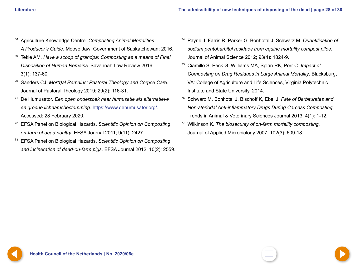- <span id="page-27-0"></span><sup>68</sup> Agriculture Knowledge Centre. *Composting Animal Mortalities: A Producer's Guide*. Moose Jaw: Government of Saskatchewan; 2016.
- <sup>69</sup> Tekle AM. *Have a scoop of grandpa: Composting as a means of Final Disposition of Human Remains*. Savannah Law Review 2016; 3(1): 137-60.
- <sup>70</sup> Sanders CJ. *Mor(t)al Remains: Pastoral Theology and Corpse Care*. Journal of Pastoral Theology 2019; 29(2): 116-31.
- <sup>71</sup> De Humusator. *Een open onderzoek naar humusatie als alternatieve en groene lichaamsbestemming*. <https://www.dehumusator.org/>. Accessed: 28 February 2020.
- <sup>72</sup> EFSA Panel on Biological Hazards. *Scientific Opinion on Composting on-farm of dead poultry*. EFSA Journal 2011; 9(11): 2427.
- <sup>73</sup> EFSA Panel on Biological Hazards. *Scientific Opinion on Composting and incineration of dead-on-farm pigs*. EFSA Journal 2012; 10(2): 2559.
- <sup>74</sup> Payne J, Farris R, Parker G, Bonhotal J, Schwarz M. *Quantification of sodium pentobarbital residues from equine mortality compost piles*. Journal of Animal Science 2012; 93(4): 1824-9.
- <sup>75</sup> Ciamillo S, Peck G, Williams MA, Splan RK, Porr C. *Impact of Composting on Drug Residues in Large Animal Mortality*. Blacksburg, VA: College of Agriculture and Life Sciences, Virginia Polytechnic Institute and State University, 2014.
- <sup>76</sup> Schwarz M, Bonhotal J, Bischoff K, Ebel J. *Fate of Barbiturates and Non-steriodal Anti-inflammatory Drugs During Carcass Composting*. Trends in Animal & Veterinary Sciences Journal 2013; 4(1): 1-12.
- <sup>77</sup> Wilkinson K. *The biosecurity of on-farm mortality composting*. Journal of Applied Microbiology 2007; 102(3): 609-18.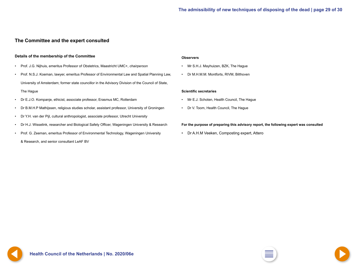#### <span id="page-28-0"></span>**The Committee and the expert consulted**

#### **Details of the membership of the Committee**

- Prof. J.G. Nijhuis, emeritus Professor of Obstetrics, Maastricht UMC+, *chairperson*
- Prof. N.S.J. Koeman, lawyer, emeritus Professor of Environmental Law and Spatial Planning Law, University of Amsterdam; former state councillor in the Advisory Division of the Council of State, The Hague
- Dr E.J.O. Kompanje, ethicist, associate professor, Erasmus MC, Rotterdam
- Dr B.M.H.P Mathijssen, religious studies scholar, assistant professor, University of Groningen
- Dr Y.H. van der Pijl, cultural anthropologist, associate professor, Utrecht University
- Dr H.J. Wisselink, researcher and Biological Safety Officer, Wageningen University & Research
- Prof. G. Zeeman, emeritus Professor of Environmental Technology, Wageningen University & Research, and senior consultant LeAF BV

#### **Observers**

- Mr S.H.J. Mayhuizen, BZK, The Hague
- Dr M.H.M.M. Montforts, RIVM, Bilthoven

#### **Scientific secretaries**

- Mr E.J. Schoten, Health Council, The Hague
- Dr V. Toom, Health Council, The Hague

#### **For the purpose of preparing this advisory report, the following expert was consulted**

• Dr A.H.M Veeken, Composting expert, Attero